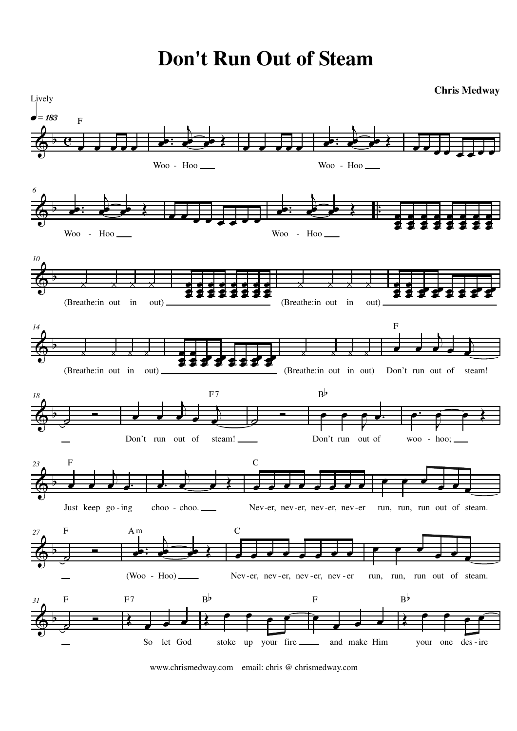